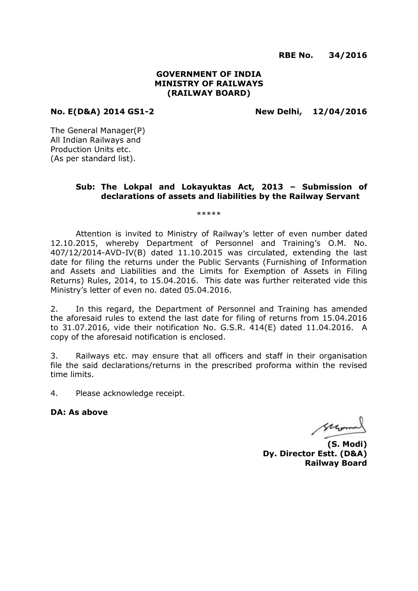**RBE No. 34/2016**

# **GOVERNMENT OF INDIA MINISTRY OF RAILWAYS (RAILWAY BOARD)**

**No. E(D&A) 2014 GS1-2 New Delhi, 12/04/2016**

The General Manager(P) All Indian Railways and Production Units etc. (As per standard list).

# **Sub: The Lokpal and Lokayuktas Act, 2013 – Submission of declarations of assets and liabilities by the Railway Servant**

\*\*\*\*\*

Attention is invited to Ministry of Railway's letter of even number dated 12.10.2015, whereby Department of Personnel and Training's O.M. No. 407/12/2014-AVD-IV(B) dated 11.10.2015 was circulated, extending the last date for filing the returns under the Public Servants (Furnishing of Information and Assets and Liabilities and the Limits for Exemption of Assets in Filing Returns) Rules, 2014, to 15.04.2016. This date was further reiterated vide this Ministry's letter of even no. dated 05.04.2016.

2. In this regard, the Department of Personnel and Training has amended the aforesaid rules to extend the last date for filing of returns from 15.04.2016 to 31.07.2016, vide their notification No. G.S.R. 414(E) dated 11.04.2016. A copy of the aforesaid notification is enclosed.

3. Railways etc. may ensure that all officers and staff in their organisation file the said declarations/returns in the prescribed proforma within the revised time limits.

4. Please acknowledge receipt.

**DA: As above**

Suson

**(S. Modi) Dy. Director Estt. (D&A) Railway Board**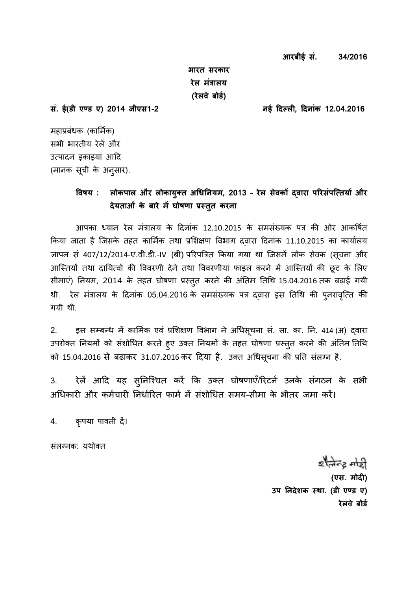**भारत सरकार रेल मंत्रालय (रेलवे बोर्ड)** 

**सं. ई(र्ी एण् र् ए) 2014 जीएस1-2 नई दिल् लय, दिनांक 12.04.2016**

महाप्रबंधक (कार्मिक) सभी भारतीय रेलें और उत्पादन इकाइयां आदि (मानक सूची के अनुसार).

# **ववषय : लोकपाल और लोकायक्ुत धिनिनयम, 2013 – रेल सेवकों द्वारा पररसंपत्ततयों और िेयताओं के बारे मेंघोषणा प्रसतत करना ु**

आपका ध्यान रेल मंत्रालय के दिनांक 12.10.2015 के समसंख्यक पत्र की ओर आकर्षित किया जाता है जिसके तहत कार्मिक तथा प्रशिक्षण विभाग दवारा दिनांक 11.10.2015 का कार्यालय ज्ञापन सं 407/12/2014-ए.वी.डी.-IV (बी) परिपत्रित किया गया था जिसमें लोक सेवक (सूचना और आस्तियों तथा दायित्वों की विवरणी देने तथा विवरणीयां फाइल करने में आस्तियों की छूट के लिए सीमाएं) नियम, 2014 के तहत घोषणा प्रस्तुत करने की अंतिम तिथि 15.04.2016 तक बढ़ाई गयी थी. रेल मंत्रालय के दिनांक 05.04.2016 के समसंख्यक पत्र दवारा इस तिथि की पुनरावृत्ति की गयी थी.

2. इस सम्बन्ध में कार्मिक एवं प्रशिक्षण विभाग ने अधिसूचना सं. सा. का. नि. 414 (अ) द्वारा उपरोक्त नियमों को संशोधित करते हुए उक्त नियमों के तहत घोषणा प्रस्तुत करने की अंतिम तिथि को 15.04.2016 से बढाकर 31.07.2016 कर दिया है. उक्त अधिसूचना की प्रति संलग्न है.

3. रेलें आदि यह सुनिश्चित करें कि उक्त घोषणाएँ/रिटर्न उनके संगठन के सभी अधिकारी और कर्मचारी निर्धारित फार्म में संशोधित समय-सीमा के भीतर जमा करें।

4. कृपया पावती दें।

संलग्नक: यथोक्त

 $z$  and  $z$  and **(एस. मोिय)**  उप निदेशक स्था. (डी एण्ड ए) **रेलवे बोर्ड**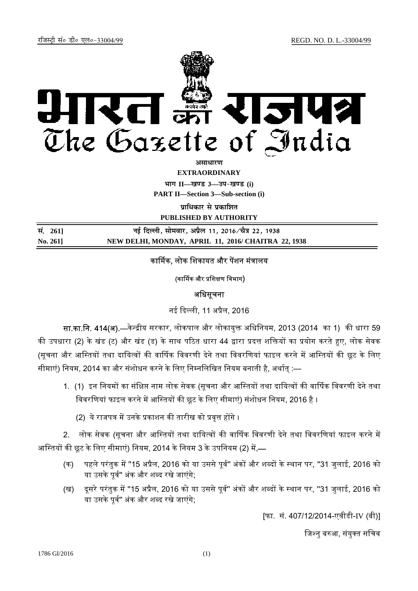

*<u>amanum</u>* 

**EXTRAORDINARY**

**Hkkx II—[k.M 3—mi&[k.M (i)**

**PART II—Section 3—Sub-section (i)** 

**<u>uाधिकार से पकाशित</u>** 

**PUBLISHED BY AUTHORITY**

| सं. 2611 | नई दिल्ली, सोमवार, अप्रैल 11, 2016⁄चैत्र 22, 1938   |
|----------|-----------------------------------------------------|
| No. 261] | NEW DELHI, MONDAY, APRIL 11, 2016/ CHAITRA 22, 1938 |

# कार्मिक, लोक शिकायत और पेंशन मंत्रालय

### (कार्मिक और प्रशिक्षण विभाग)

## अधिसूचना

नई ᳰद᭨ली, 11 अᮧैल, 2016

सा.का.नि. 414(अ).—केन्द्रीय सरकार, लोकपाल और लोकायुक्त अधिनियम, 2013 (2014 का 1) की धारा 59 की उपधारा (2) के खंड (ट) और खंड (ड) के साथ पठित धारा 44 द्वारा प्रदत्त शक्तियों का प्रयोग करते हुए, लोक सेवक (सूचना और आस्तियों तथा दायित्वों की वार्षिक विवरणी देने तथा विवरणियां फाइल करने में आस्तियों की छूट के लिए सीमाएं) नियम, 2014 का और संशोधन करने के लिए निम्नलिखित नियम बनाती है, अर्थात् :—

- 1. (1) इन नियमों का संक्षिप्त नाम लोक सेवक (सूचना और आस्तियों तथा दायित्वों की वार्षिक विवरणी देने तथा विवरणियां फाइल करने में आस्तियों की छूट के लिए सीमाएं) संशोधन नियम, 2016 है ।
	- (2) ये राजपत्र में उनके प्रकाशन की तारीख को प्रवृत्त होंगे ।

2. लोक सेवक (सूचना और आस्तियों तथा दायित्वों की वार्षिक विवरणी देने तथा विवरणियां फाइल करने में आस्तियों की छूट के लिए सीमाएं) नियम, 2014 के नियम 3 के उपनियम (2) में,—

- (क) पहले परंतुक में "15 अप्रैल, 2016 को या उससे पूर्व" अंकों और शब्दों के स्थान पर, "31 जुलाई, 2016 को या उसके पर्व'' अंक और शब्द रखे जाएंगे:
- (ख) दूसरे परंतुक में "15 अप्रैल, 2016 को या उससे पूर्व" अंकों और शब्दों के स्थान पर, "31 जुलाई, 2016 को या उसके पूर्व" अंक और शब्द रखे जाएंगे;

[फा. सं. 407/12/2014-एवीडी-IV (बी)]

जिश्न बरुआ, संयुक्त सचिव